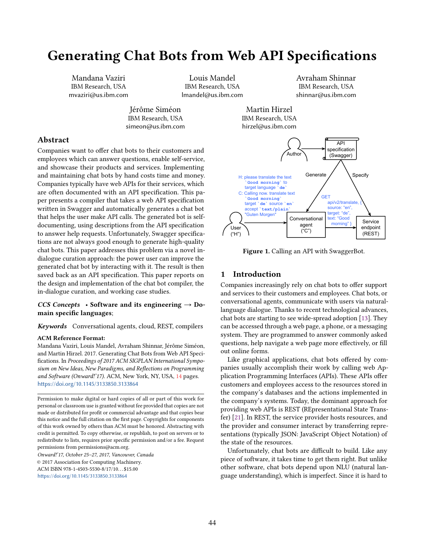# Generating Chat Bots from Web API Specifications

Mandana Vaziri IBM Research, USA mvaziri@us.ibm.com

Jérôme Siméon

IBM Research, USA simeon@us.ibm.com

Louis Mandel IBM Research, USA lmandel@us.ibm.com

> Martin Hirzel IBM Research, USA hirzel@us.ibm.com

Avraham Shinnar IBM Research, USA shinnar@us.ibm.com

<span id="page-0-0"></span>

Figure 1. Calling an API with SwaggerBot.

# **Introduction**

Companies increasingly rely on chat bots to offer support and services to their customers and employees. Chat bots, or conversational agents, communicate with users via naturallanguage dialogue. Thanks to recent technological advances, chat bots are starting to see wide-spread adoption [\[13\]](#page-12-0). They can be accessed through a web page, a phone, or a messaging system. They are programmed to answer commonly asked questions, help navigate a web page more effectively, or fill out online forms.

Like graphical applications, chat bots offered by companies usually accomplish their work by calling web Application Programming Interfaces (APIs). These APIs offer customers and employees access to the resources stored in the company's databases and the actions implemented in the company's systems. Today, the dominant approach for providing web APIs is REST (REpresentational State Transfer) [\[21\]](#page-13-1). In REST, the service provider hosts resources, and the provider and consumer interact by transferring representations (typically JSON: JavaScript Object Notation) of the state of the resources.

Unfortunately, chat bots are difficult to build. Like any piece of software, it takes time to get them right. But unlike other software, chat bots depend upon NLU (natural language understanding), which is imperfect. Since it is hard to

# Abstract

Companies want to offer chat bots to their customers and employees which can answer questions, enable self-service, and showcase their products and services. Implementing and maintaining chat bots by hand costs time and money. Companies typically have web APIs for their services, which are often documented with an API specification. This paper presents a compiler that takes a web API specification written in Swagger and automatically generates a chat bot that helps the user make API calls. The generated bot is selfdocumenting, using descriptions from the API specification to answer help requests. Unfortunately, Swagger specifications are not always good enough to generate high-quality chat bots. This paper addresses this problem via a novel indialogue curation approach: the power user can improve the generated chat bot by interacting with it. The result is then saved back as an API specification. This paper reports on the design and implementation of the chat bot compiler, the in-dialogue curation, and working case studies.

# CCS Concepts • Software and its engineering  $\rightarrow$  Domain specific languages;

Keywords Conversational agents, cloud, REST, compilers

#### ACM Reference Format:

Mandana Vaziri, Louis Mandel, Avraham Shinnar, Jérôme Siméon, and Martin Hirzel. 2017. Generating Chat Bots from Web API Specifications. In Proceedings of 2017 ACM SIGPLAN International Symposium on New Ideas, New Paradigms, and Reflections on Programming and Software (Onward!'17). ACM, New York, NY, USA, [14](#page-13-0) pages. <https://doi.org/10.1145/3133850.3133864>

Onward!'17, October 25–27, 2017, Vancouver, Canada

© 2017 Association for Computing Machinery.

ACM ISBN 978-1-4503-5530-8/17/10. . . \$15.00

Permission to make digital or hard copies of all or part of this work for personal or classroom use is granted without fee provided that copies are not made or distributed for profit or commercial advantage and that copies bear this notice and the full citation on the first page. Copyrights for components of this work owned by others than ACM must be honored. Abstracting with credit is permitted. To copy otherwise, or republish, to post on servers or to redistribute to lists, requires prior specific permission and/or a fee. Request permissions from permissions@acm.org.

<https://doi.org/10.1145/3133850.3133864>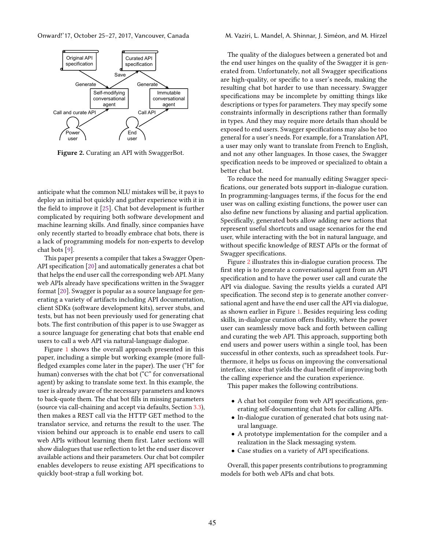<span id="page-1-0"></span>

Figure 2. Curating an API with SwaggerBot.

anticipate what the common NLU mistakes will be, it pays to deploy an initial bot quickly and gather experience with it in the field to improve it [\[25\]](#page-13-2). Chat bot development is further complicated by requiring both software development and machine learning skills. And finally, since companies have only recently started to broadly embrace chat bots, there is a lack of programming models for non-experts to develop chat bots [\[9\]](#page-12-1).

This paper presents a compiler that takes a Swagger Open-API specification [\[20\]](#page-13-3) and automatically generates a chat bot that helps the end user call the corresponding web API. Many web APIs already have specifications written in the Swagger format [\[20\]](#page-13-3). Swagger is popular as a source language for generating a variety of artifacts including API documentation, client SDKs (software development kits), server stubs, and tests, but has not been previously used for generating chat bots. The first contribution of this paper is to use Swagger as a source language for generating chat bots that enable end users to call a web API via natural-language dialogue.

Figure [1](#page-0-0) shows the overall approach presented in this paper, including a simple but working example (more fullfledged examples come later in the paper). The user ("H" for human) converses with the chat bot ("C" for conversational agent) by asking to translate some text. In this example, the user is already aware of the necessary parameters and knows to back-quote them. The chat bot fills in missing parameters (source via call-chaining and accept via defaults, Section [3.3\)](#page-5-0), then makes a REST call via the HTTP GET method to the translator service, and returns the result to the user. The vision behind our approach is to enable end users to call web APIs without learning them first. Later sections will show dialogues that use reflection to let the end user discover available actions and their parameters. Our chat bot compiler enables developers to reuse existing API specifications to quickly boot-strap a full working bot.

The quality of the dialogues between a generated bot and the end user hinges on the quality of the Swagger it is generated from. Unfortunately, not all Swagger specifications are high-quality, or specific to a user's needs, making the resulting chat bot harder to use than necessary. Swagger specifications may be incomplete by omitting things like descriptions or types for parameters. They may specify some constraints informally in descriptions rather than formally in types. And they may require more details than should be exposed to end users. Swagger specifications may also be too general for a user's needs. For example, for a Translation API, a user may only want to translate from French to English, and not any other languages. In those cases, the Swagger specification needs to be improved or specialized to obtain a better chat bot.

To reduce the need for manually editing Swagger specifications, our generated bots support in-dialogue curation. In programming-languages terms, if the focus for the end user was on calling existing functions, the power user can also define new functions by aliasing and partial application. Specifically, generated bots allow adding new actions that represent useful shortcuts and usage scenarios for the end user, while interacting with the bot in natural language, and without specific knowledge of REST APIs or the format of Swagger specifications.

Figure [2](#page-1-0) illustrates this in-dialogue curation process. The first step is to generate a conversational agent from an API specification and to have the power user call and curate the API via dialogue. Saving the results yields a curated API specification. The second step is to generate another conversational agent and have the end user call the API via dialogue, as shown earlier in Figure [1.](#page-0-0) Besides requiring less coding skills, in-dialogue curation offers fluidity, where the power user can seamlessly move back and forth between calling and curating the web API. This approach, supporting both end users and power users within a single tool, has been successful in other contexts, such as spreadsheet tools. Furthermore, it helps us focus on improving the conversational interface, since that yields the dual benefit of improving both the calling experience and the curation experience.

This paper makes the following contributions.

- A chat bot compiler from web API specifications, generating self-documenting chat bots for calling APIs.
- In-dialogue curation of generated chat bots using natural language.
- A prototype implementation for the compiler and a realization in the Slack messaging system.
- Case studies on a variety of API specifications.

Overall, this paper presents contributions to programming models for both web APIs and chat bots.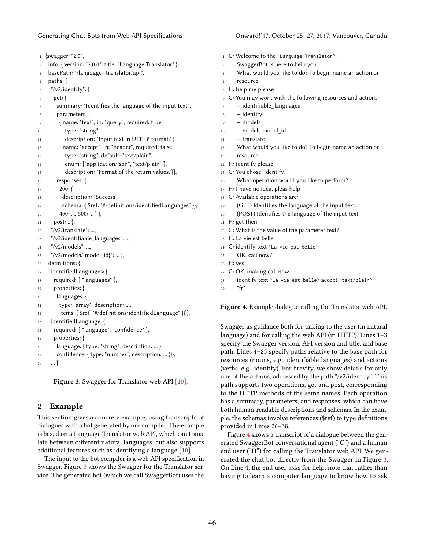#### Generating Chat Bots from Web API Specifications Onward!'17, October 25–27, 2017, Vancouver, Canada

```
1 {swagger: "2.0",
2 info: { version: "2.0.0", title: "Language Translator" },
3 basePath: "/language−translator/api",
4 paths: {
5 "/v2/identify": {
      6 get: {
       summary: "Identifies the language of the input text",
8 parameters: [
        9 { name: "text", in: "query", required: true,
10 type: "string",
11 description: "Input text in UTF−8 format." },
12 { name: "accept", in: "header", required: false,
13 type: "string", default: "text/plain",
14 enum: ["application/json", "text/plain" ],
15 description: "Format of the return values."}],
16 responses: {
17 200: {
18 description: "Success",
19 schema: { $ref: "#/definitions/identifiedLanguages" }},
20 400: ..., 500: ... } },
21 post: ...},
22 "/v2/translate": ...,
23 "/v2/identifiable_languages": ...,
24 "/v2/models": ...,
25 "/v2/models/{model_id}": ... },
26 definitions: {
27 identifiedLanguages: {
28 required: [ "languages" ],
29 properties: {
30 languages: {
31 type: "array", description: ...,
32 items: { $ref: "#/definitions/identifiedLanguage" }}}},
33 identifiedLanguage: {
34 required: [ "language", "confidence" ],
35 properties: {
36 language: { type: "string", description: ... },
37 confidence: { type: "number", description: ... }}},
```

```
38 \dots \}
```

```
Figure 3. Swagger for Translator web API [10].
```
# <span id="page-2-2"></span>2 Example

This section gives a concrete example, using transcripts of dialogues with a bot generated by our compiler. The example is based on a Language Translator web API, which can translate between different natural languages, but also supports additional features such as identifying a language [\[10\]](#page-12-2).

The input to the bot compiler is a web API specification in Swagger. Figure [3](#page-2-0) shows the Swagger for the Translator service. The generated bot (which we call SwaggerBot) uses the

<span id="page-2-1"></span>

|  | 1 C: Welcome to the 'Language Translator'. |  |  |  |  |
|--|--------------------------------------------|--|--|--|--|
|--|--------------------------------------------|--|--|--|--|

- SwaggerBot is here to help you.
- What would you like to do? To begin name an action or
- resource.
- H: help me please
- C: You may work with the following resources and actions:
- identifiable\_languages
- $8 -$  identify
- models
- 10 models model id
- − translate
- 12 What would you like to do? To begin name an action or
- resource.
- H: identify please
- C: You chose: identify.
- What operation would you like to perform?
- H: I have no idea, pleas help
- C: Available operations are:
- (GET) Identifies the language of the input text,
- (POST) Identifies the language of the input text
- H: get then
- C: What is the value of the parameter text?
- H: La vie est belle
- C: identify text `La vie est belle`
- OK, call now?
- H: yes
- C: OK, making call now.
- identify text `La vie est belle` accept `text/plain`
- "fr"

Figure 4. Example dialogue calling the Translator web API.

Swagger as guidance both for talking to the user (in natural language) and for calling the web API (in HTTP). Lines 1–3 specify the Swagger version, API version and title, and base path. Lines 4–25 specify paths relative to the base path for resources (nouns, e.g., identifiable languages) and actions (verbs, e.g., identify). For brevity, we show details for only one of the actions, addressed by the path "/v2/identify". This path supports two operations, get and post, corresponding to the HTTP methods of the same names. Each operation has a summary, parameters, and responses, which can have both human-readable descriptions and schemas. In the example, the schemas involve references (\$ref) to type definitions provided in Lines 26–38.

Figure [4](#page-2-1) shows a transcript of a dialogue between the generated SwaggerBot conversational agent ("C") and a human end user ("H") for calling the Translator web API. We generated the chat bot directly from the Swagger in Figure [3.](#page-2-0) On Line 4, the end user asks for help; note that rather than having to learn a computer language to know how to ask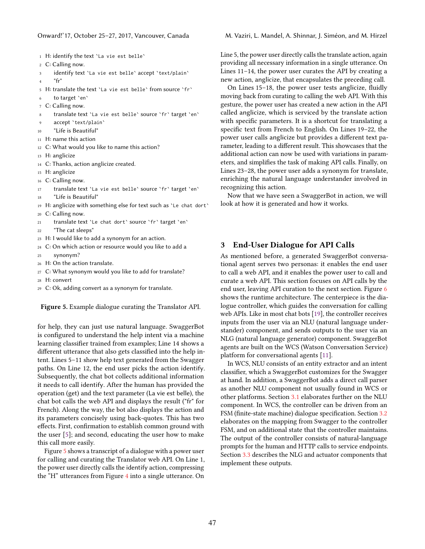- <span id="page-3-0"></span>1 H: identify the text 'La vie est belle'
- <sup>2</sup> C: Calling now.
- <sup>3</sup> identify text `La vie est belle` accept `text/plain` <sup>4</sup> "fr"
- <sup>5</sup> H: translate the text `La vie est belle` from source `fr`
- to target `en`
- <sup>7</sup> C: Calling now.
- <sup>8</sup> translate text `La vie est belle` source `fr` target `en`
- accept `text/plain`
- <sup>10</sup> "Life is Beautiful"
- <sup>11</sup> H: name this action
- 12 C: What would you like to name this action?
- <sup>13</sup> H: anglicize
- <sup>14</sup> C: Thanks, action anglicize created.
- <sup>15</sup> H: anglicize
- <sup>16</sup> C: Calling now.
- 17 translate text 'La vie est belle' source 'fr' target 'en'
- <sup>18</sup> "Life is Beautiful"
- <sup>19</sup> H: anglicize with something else for text such as `Le chat dort`
- <sup>20</sup> C: Calling now.
- <sup>21</sup> translate text `Le chat dort` source `fr` target `en`
- <sup>22</sup> "The cat sleeps"
- <sup>23</sup> H: I would like to add a synonym for an action.
- <sup>24</sup> C: On which action or resource would you like to add a
- <sup>25</sup> synonym?
- <sup>26</sup> H: On the action translate.
- <sup>27</sup> C: What synonym would you like to add for translate?
- <sup>28</sup> H: convert
- <sup>29</sup> C: Ok, adding convert as a synonym for translate.

Figure 5. Example dialogue curating the Translator API.

for help, they can just use natural language. SwaggerBot is configured to understand the help intent via a machine learning classifier trained from examples; Line 14 shows a different utterance that also gets classified into the help intent. Lines 5–11 show help text generated from the Swagger paths. On Line 12, the end user picks the action identify. Subsequently, the chat bot collects additional information it needs to call identify. After the human has provided the operation (get) and the text parameter (La vie est belle), the chat bot calls the web API and displays the result ("fr" for French). Along the way, the bot also displays the action and its parameters concisely using back-quotes. This has two effects. First, confirmation to establish common ground with the user [\[5\]](#page-12-3); and second, educating the user how to make this call more easily.

Figure [5](#page-3-0) shows a transcript of a dialogue with a power user for calling and curating the Translator web API. On Line 1, the power user directly calls the identify action, compressing the "H" utterances from Figure [4](#page-2-1) into a single utterance. On

Line 5, the power user directly calls the translate action, again providing all necessary information in a single utterance. On Lines 11–14, the power user curates the API by creating a new action, anglicize, that encapsulates the preceding call.

On Lines 15–18, the power user tests anglicize, fluidly moving back from curating to calling the web API. With this gesture, the power user has created a new action in the API called anglicize, which is serviced by the translate action with specific parameters. It is a shortcut for translating a specific text from French to English. On Lines 19–22, the power user calls anglicize but provides a different text parameter, leading to a different result. This showcases that the additional action can now be used with variations in parameters, and simplifies the task of making API calls. Finally, on Lines 23–28, the power user adds a synonym for translate, enriching the natural language understander involved in recognizing this action.

Now that we have seen a SwaggerBot in action, we will look at how it is generated and how it works.

### 3 End-User Dialogue for API Calls

As mentioned before, a generated SwaggerBot conversational agent serves two personas: it enables the end user to call a web API, and it enables the power user to call and curate a web API. This section focuses on API calls by the end user, leaving API curation to the next section. Figure [6](#page-4-0) shows the runtime architecture. The centerpiece is the dialogue controller, which guides the conversation for calling web APIs. Like in most chat bots [\[19\]](#page-13-4), the controller receives inputs from the user via an NLU (natural language understander) component, and sends outputs to the user via an NLG (natural language generator) component. SwaggerBot agents are built on the WCS (Watson Conversation Service) platform for conversational agents [\[11\]](#page-12-4).

In WCS, NLU consists of an entity extractor and an intent classifier, which a SwaggerBot customizes for the Swagger at hand. In addition, a SwaggerBot adds a direct call parser as another NLU component not usually found in WCS or other platforms. Section [3.1](#page-4-1) elaborates further on the NLU component. In WCS, the controller can be driven from an FSM (finite-state machine) dialogue specification. Section [3.2](#page-4-2) elaborates on the mapping from Swagger to the controller FSM, and on additional state that the controller maintains. The output of the controller consists of natural-language prompts for the human and HTTP calls to service endpoints. Section [3.3](#page-5-0) describes the NLG and actuator components that implement these outputs.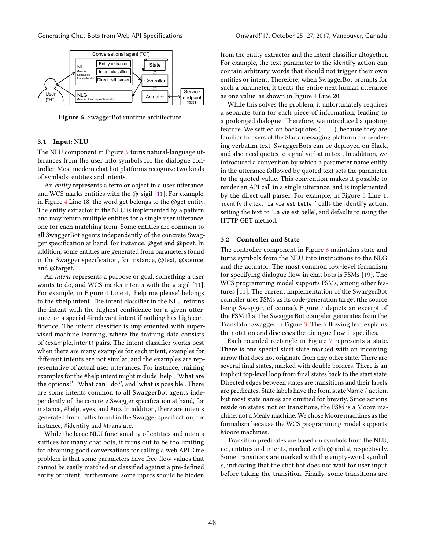Generating Chat Bots from Web API Specifications **Onward!'17, October 25-27, 2017, Vancouver**, Canada

<span id="page-4-0"></span>

Figure 6. SwaggerBot runtime architecture.

#### <span id="page-4-1"></span>3.1 Input: NLU

The NLU component in Figure [6](#page-4-0) turns natural-language utterances from the user into symbols for the dialogue controller. Most modern chat bot platforms recognize two kinds of symbols: entities and intents.

An entity represents a term or object in a user utterance, and WCS marks entities with the @-sigil [\[11\]](#page-12-4). For example, in Figure [4](#page-2-1) Line 18, the word get belongs to the @get entity. The entity extractor in the NLU is implemented by a pattern and may return multiple entities for a single user utterance, one for each matching term. Some entities are common to all SwaggerBot agents independently of the concrete Swagger specification at hand, for instance, @get and @post. In addition, some entities are generated from parameters found in the Swagger specification, for instance, @text, @source, and @target.

An intent represents a purpose or goal, something a user wants to do, and WCS marks intents with the #-sigil [\[11\]](#page-12-4). For example, in Figure [4](#page-2-1) Line 4, 'help me please' belongs to the #help intent. The intent classifier in the NLU returns the intent with the highest confidence for a given utterance, or a special #irrelevant intent if nothing has high confidence. The intent classifier is implemented with supervised machine learning, where the training data consists of ⟨example, intent⟩ pairs. The intent classifier works best when there are many examples for each intent, examples for different intents are not similar, and the examples are representative of actual user utterances. For instance, training examples for the #help intent might include 'help', 'What are the options?', 'What can I do?', and 'what is possible'. There are some intents common to all SwaggerBot agents independently of the concrete Swagger specification at hand, for instance, #help, #yes, and #no. In addition, there are intents generated from paths found in the Swagger specification, for instance, #identify and #translate.

While the basic NLU functionality of entities and intents suffices for many chat bots, it turns out to be too limiting for obtaining good conversations for calling a web API. One problem is that some parameters have free-flow values that cannot be easily matched or classified against a pre-defined entity or intent. Furthermore, some inputs should be hidden from the entity extractor and the intent classifier altogether. For example, the text parameter to the identify action can contain arbitrary words that should not trigger their own entities or intent. Therefore, when SwaggerBot prompts for such a parameter, it treats the entire next human utterance as one value, as shown in Figure [4](#page-2-1) Line 20.

While this solves the problem, it unfortunately requires a separate turn for each piece of information, leading to a prolonged dialogue. Therefore, we introduced a quoting feature. We settled on backquotes  $(\cdot, \cdot, \cdot)$ , because they are familiar to users of the Slack messaging platform for rendering verbatim text. SwaggerBots can be deployed on Slack, and also need quotes to signal verbatim text. In addition, we introduced a convention by which a parameter name entity in the utterance followed by quoted text sets the parameter to the quoted value. This convention makes it possible to render an API call in a single utterance, and is implemented by the direct call parser. For example, in Figure [5](#page-3-0) Line 1, 'identify the text `La vie est belle`' calls the identify action, setting the text to 'La vie est belle', and defaults to using the HTTP GET method.

#### <span id="page-4-2"></span>3.2 Controller and State

The controller component in Figure [6](#page-4-0) maintains state and turns symbols from the NLU into instructions to the NLG and the actuator. The most common low-level formalism for specifying dialogue flow in chat bots is FSMs [\[19\]](#page-13-4). The WCS programming model supports FSMs, among other features [\[11\]](#page-12-4). The current implementation of the SwaggerBot compiler uses FSMs as its code-generation target (the source being Swagger, of course). Figure [7](#page-5-1) depicts an excerpt of the FSM that the SwaggerBot compiler generates from the Translator Swagger in Figure [3.](#page-2-0) The following text explains the notation and discusses the dialogue flow it specifies.

Each rounded rectangle in Figure [7](#page-5-1) represents a state. There is one special start state marked with an incoming arrow that does not originate from any other state. There are several final states, marked with double borders. There is an implicit top-level loop from final states back to the start state. Directed edges between states are transitions and their labels are predicates. State labels have the form stateName / action, but most state names are omitted for brevity. Since actions reside on states, not on transitions, the FSM is a Moore machine, not a Mealy machine. We chose Moore machines as the formalism because the WCS programming model supports Moore machines.

Transition predicates are based on symbols from the NLU, i.e., entities and intents, marked with @ and #, respectively. Some transitions are marked with the empty-word symbol  $\varepsilon$ , indicating that the chat bot does not wait for user input before taking the transition. Finally, some transitions are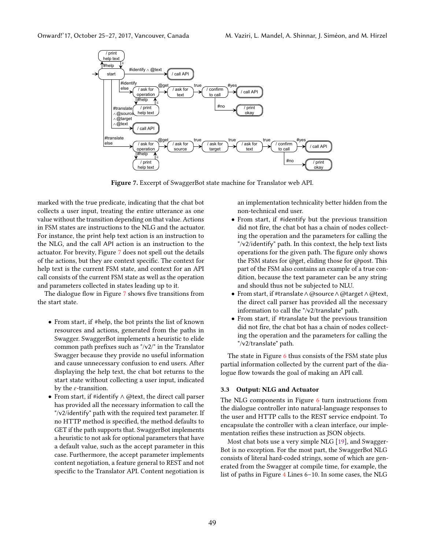<span id="page-5-1"></span>

Figure 7. Excerpt of SwaggerBot state machine for Translator web API.

marked with the true predicate, indicating that the chat bot collects a user input, treating the entire utterance as one value without the transition depending on that value. Actions in FSM states are instructions to the NLG and the actuator. For instance, the print help text action is an instruction to the NLG, and the call API action is an instruction to the actuator. For brevity, Figure [7](#page-5-1) does not spell out the details of the actions, but they are context specific. The context for help text is the current FSM state, and context for an API call consists of the current FSM state as well as the operation and parameters collected in states leading up to it.

The dialogue flow in Figure [7](#page-5-1) shows five transitions from the start state.

- From start, if #help, the bot prints the list of known resources and actions, generated from the paths in Swagger. SwaggerBot implements a heuristic to elide common path prefixes such as "/v2/" in the Translator Swagger because they provide no useful information and cause unnecessary confusion to end users. After displaying the help text, the chat bot returns to the start state without collecting a user input, indicated by the  $\varepsilon$ -transition.
- From start, if #identify ∧ @text, the direct call parser has provided all the necessary information to call the "/v2/identify" path with the required text parameter. If no HTTP method is specified, the method defaults to GET if the path supports that. SwaggerBot implements a heuristic to not ask for optional parameters that have a default value, such as the accept parameter in this case. Furthermore, the accept parameter implements content negotiation, a feature general to REST and not specific to the Translator API. Content negotiation is

an implementation technicality better hidden from the non-technical end user.

- From start, if #identify but the previous transition did not fire, the chat bot has a chain of nodes collecting the operation and the parameters for calling the "/v2/identify" path. In this context, the help text lists operations for the given path. The figure only shows the FSM states for @get, eliding those for @post. This part of the FSM also contains an example of a true condition, because the text parameter can be any string and should thus not be subjected to NLU.
- From start, if #translate∧@source∧@target∧@text, the direct call parser has provided all the necessary information to call the "/v2/translate" path.
- From start, if #translate but the previous transition did not fire, the chat bot has a chain of nodes collecting the operation and the parameters for calling the "/v2/translate" path.

The state in Figure [6](#page-4-0) thus consists of the FSM state plus partial information collected by the current part of the dialogue flow towards the goal of making an API call.

#### <span id="page-5-0"></span>3.3 Output: NLG and Actuator

The NLG components in Figure [6](#page-4-0) turn instructions from the dialogue controller into natural-language responses to the user and HTTP calls to the REST service endpoint. To encapsulate the controller with a clean interface, our implementation reifies these instruction as JSON objects.

Most chat bots use a very simple NLG [\[19\]](#page-13-4), and Swagger-Bot is no exception. For the most part, the SwaggerBot NLG consists of literal hard-coded strings, some of which are generated from the Swagger at compile time, for example, the list of paths in Figure [4](#page-2-1) Lines 6–10. In some cases, the NLG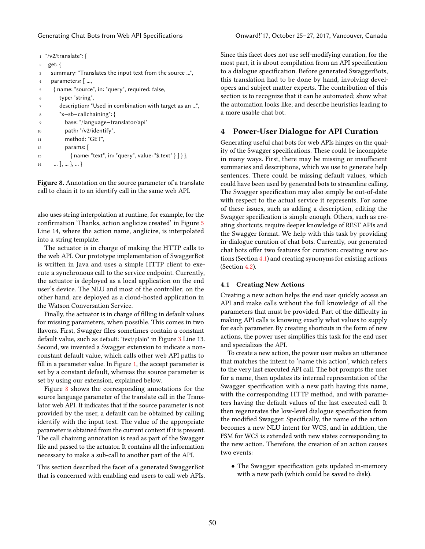<span id="page-6-0"></span>

|                | $1$ "/v2/translate": {                                 |
|----------------|--------------------------------------------------------|
| 2              | get:                                                   |
| 3              | summary: "Translates the input text from the source ", |
| $\overline{4}$ | parameters: $\lceil \dots \rceil$                      |
| 5              | { name: "source", in: "query", required: false,        |
| 6              | type: "string",                                        |
| 7              | description: "Used in combination with target as an ", |
| 8              | "x-sb-callchaining": {                                 |
| 9              | base: "/language-translator/api"                       |
| 10             | path: "/v2/identify",                                  |
| 11             | method: "GET",                                         |
| 12             | params: [                                              |
| 13             | { name: "text", in: "query", value: "\$.text" } ] } }, |
| 14             | $$ ], }, }                                             |

Figure 8. Annotation on the source parameter of a translate call to chain it to an identify call in the same web API.

also uses string interpolation at runtime, for example, for the confirmation 'Thanks, action anglicize created' in Figure [5](#page-3-0) Line 14, where the action name, anglicize, is interpolated into a string template.

The actuator is in charge of making the HTTP calls to the web API. Our prototype implementation of SwaggerBot is written in Java and uses a simple HTTP client to execute a synchronous call to the service endpoint. Currently, the actuator is deployed as a local application on the end user's device. The NLU and most of the controller, on the other hand, are deployed as a cloud-hosted application in the Watson Conversation Service.

Finally, the actuator is in charge of filling in default values for missing parameters, when possible. This comes in two flavors. First, Swagger files sometimes contain a constant default value, such as default: "text/plain" in Figure [3](#page-2-0) Line 13. Second, we invented a Swagger extension to indicate a nonconstant default value, which calls other web API paths to fill in a parameter value. In Figure [1,](#page-0-0) the accept parameter is set by a constant default, whereas the source parameter is set by using our extension, explained below.

Figure [8](#page-6-0) shows the corresponding annotations for the source language parameter of the translate call in the Translator web API. It indicates that if the source parameter is not provided by the user, a default can be obtained by calling identify with the input text. The value of the appropriate parameter is obtained from the current context if it is present. The call chaining annotation is read as part of the Swagger file and passed to the actuator. It contains all the information necessary to make a sub-call to another part of the API.

This section described the facet of a generated SwaggerBot that is concerned with enabling end users to call web APIs. Since this facet does not use self-modifying curation, for the most part, it is about compilation from an API specification to a dialogue specification. Before generated SwaggerBots, this translation had to be done by hand, involving developers and subject matter experts. The contribution of this section is to recognize that it can be automated; show what the automation looks like; and describe heuristics leading to a more usable chat bot.

# 4 Power-User Dialogue for API Curation

Generating useful chat bots for web APIs hinges on the quality of the Swagger specifications. These could be incomplete in many ways. First, there may be missing or insufficient summaries and descriptions, which we use to generate help sentences. There could be missing default values, which could have been used by generated bots to streamline calling. The Swagger specification may also simply be out-of-date with respect to the actual service it represents. For some of these issues, such as adding a description, editing the Swagger specification is simple enough. Others, such as creating shortcuts, require deeper knowledge of REST APIs and the Swagger format. We help with this task by providing in-dialogue curation of chat bots. Currently, our generated chat bots offer two features for curation: creating new actions (Section [4.1\)](#page-6-1) and creating synonyms for existing actions (Section [4.2\)](#page-8-0).

#### <span id="page-6-1"></span>4.1 Creating New Actions

Creating a new action helps the end user quickly access an API and make calls without the full knowledge of all the parameters that must be provided. Part of the difficulty in making API calls is knowing exactly what values to supply for each parameter. By creating shortcuts in the form of new actions, the power user simplifies this task for the end user and specializes the API.

To create a new action, the power user makes an utterance that matches the intent to 'name this action', which refers to the very last executed API call. The bot prompts the user for a name, then updates its internal representation of the Swagger specification with a new path having this name, with the corresponding HTTP method, and with parameters having the default values of the last executed call. It then regenerates the low-level dialogue specification from the modified Swagger. Specifically, the name of the action becomes a new NLU intent for WCS, and in addition, the FSM for WCS is extended with new states corresponding to the new action. Therefore, the creation of an action causes two events:

• The Swagger specification gets updated in-memory with a new path (which could be saved to disk).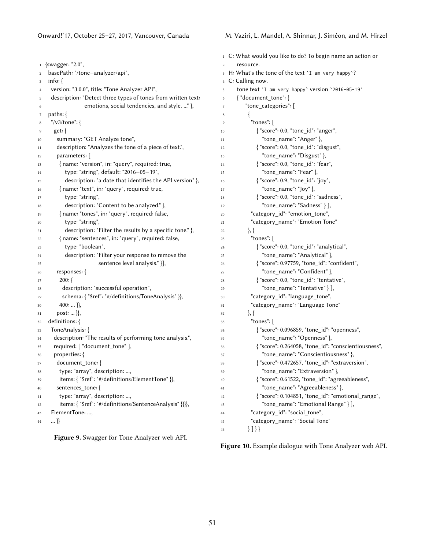<span id="page-7-0"></span>

| $\,1$          | {swagger: "2.0",                                             |
|----------------|--------------------------------------------------------------|
| $\overline{2}$ | basePath: "/tone-analyzer/api",                              |
| 3              | info: $\{$                                                   |
| 4              | version: "3.0.0", title: "Tone Analyzer API",                |
| 5              | description: "Detect three types of tones from written text: |
| 6              | emotions, social tendencies, and style. " },                 |
| 7              | paths:                                                       |
| 8              | "/v3/tone": {                                                |
| 9              | get: {                                                       |
| 10             | summary: "GET Analyze tone",                                 |
| 11             | description: "Analyzes the tone of a piece of text.",        |
| 12             | parameters:                                                  |
| 13             | { name: "version", in: "query", required: true,              |
| 14             | type: "string", default: "2016-05-19",                       |
| 15             | description: "a date that identifies the API version" $\}$ , |
| 16             | { name: "text", in: "query", required: true,                 |
| 17             | type: "string",                                              |
| 18             | description: "Content to be analyzed." $\}$ ,                |
| 19             | { name: "tones", in: "query", required: false,               |
| 20             | type: "string",                                              |
| 21             | description: "Filter the results by a specific tone." $\}$ , |
| 22             | { name: "sentences", in: "query", required: false,           |
| 23             | type: "boolean",                                             |
| 24             | description: "Filter your response to remove the             |
| 25             | sentence level analysis." }],                                |
| 26             | responses: {                                                 |
| 27             | 200:                                                         |
| 28             | description: "successful operation",                         |
| 29             | schema: { "\$ref": "#/definitions/ToneAnalysis" }},          |
| 30             | $400: $ }},                                                  |
| 31             | post: $\}$ ,                                                 |
| 32             | definitions: {                                               |
| 33             | ToneAnalysis: {                                              |
| 34             | description: "The results of performing tone analysis.",     |
| 35             | required: [ "document_tone" ],                               |
| 36             | properties: {                                                |
| 37             | document_tone: {                                             |
| 38             | type: "array", description: ,                                |
| 39             | items: { "\$ref": "#/definitions/ElementTone" }},            |
| 40             | sentences_tone: {                                            |
| 41             | type: "array", description: ,                                |
| 42             | items: { "\$ref": "#/definitions/SentenceAnalysis" }}}},     |
| 43             | ElementTone: ,                                               |
| 44             | }}                                                           |

Figure 9. Swagger for Tone Analyzer web API.

| $\mathbf{1}$            | C: What would you like to do? To begin name an action or |  |  |
|-------------------------|----------------------------------------------------------|--|--|
| $\overline{\mathbf{2}}$ | resource.                                                |  |  |
| 3                       | H: What's the tone of the text `I am very happy`?        |  |  |
| $\overline{4}$          | C: Calling now.                                          |  |  |
| 5                       | tone text 'I am very happy' version '2016-05-19'         |  |  |
| 6                       |                                                          |  |  |
| 7                       | "tone_categories": [                                     |  |  |
| 8                       | ∤                                                        |  |  |
| 9                       | "tones": [                                               |  |  |
| 10                      | { "score": 0.0, "tone_id": "anger",                      |  |  |
| 11                      | "tone_name": "Anger" },                                  |  |  |
| 12                      | { "score": 0.0, "tone_id": "disgust",                    |  |  |
| 13                      | "tone_name": "Disgust" },                                |  |  |
| 14                      | { "score": 0.0, "tone_id": "fear",                       |  |  |
| 15                      | "tone_name": "Fear" },                                   |  |  |
| 16                      | { "score": 0.9, "tone_id": "joy",                        |  |  |
| 17                      | "tone_name": "Joy" },                                    |  |  |
| 18                      |                                                          |  |  |
| 19                      | "tone_name": "Sadness" } ],                              |  |  |
| 20                      | "category_id": "emotion_tone",                           |  |  |
| 21                      | "category_name": "Emotion Tone"                          |  |  |
| 22                      | $\}, \{$                                                 |  |  |
| 23                      | "tones": [                                               |  |  |
| 24                      | { "score": 0.0, "tone_id": "analytical",                 |  |  |
| 25                      | "tone_name": "Analytical" },                             |  |  |
| 26                      | { "score": 0.97759, "tone_id": "confident",              |  |  |
| 27                      | "tone_name": "Confident" },                              |  |  |
| 28                      |                                                          |  |  |
| 29                      | "tone_name": "Tentative" } ],                            |  |  |
| 30                      | "category_id": "language_tone",                          |  |  |
| 31                      | "category_name": "Language Tone"                         |  |  |
| 32                      | $\}, \{$                                                 |  |  |
| 33                      | "tones": [                                               |  |  |
| 34                      | { "score": 0.096859, "tone_id": "openness",              |  |  |
| 35                      | "tone_name": "Openness" },                               |  |  |
| 36                      | { "score": 0.264058, "tone_id": "conscientiousness",     |  |  |
| 37                      | "tone_name": "Conscientiousness" },                      |  |  |
| 38                      | { "score": 0.472657, "tone_id": "extraversion",          |  |  |
| 39                      | "tone_name": "Extraversion" },                           |  |  |
| 40                      | { "score": 0.61522, "tone_id": "agreeableness",          |  |  |
| 41                      | "tone_name": "Agreeableness" },                          |  |  |
| 42                      | { "score": 0.104851, "tone_id": "emotional_range",       |  |  |
| 43                      | "tone_name": "Emotional Range" } ],                      |  |  |
| 44                      | "category_id": "social_tone",                            |  |  |
| 45                      | "category_name": "Social Tone"                           |  |  |
| 46                      | }]}}                                                     |  |  |

Figure 10. Example dialogue with Tone Analyzer web API.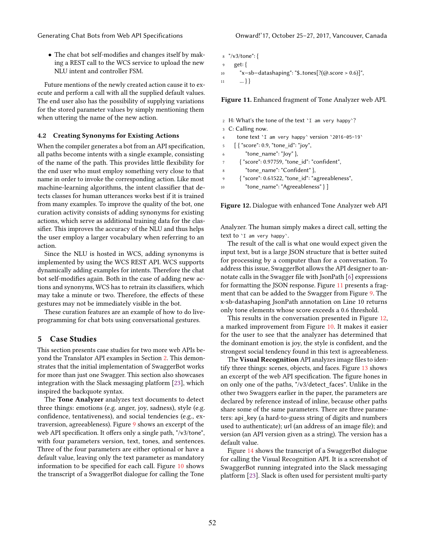• The chat bot self-modifies and changes itself by making a REST call to the WCS service to upload the new NLU intent and controller FSM.

Future mentions of the newly created action cause it to execute and perform a call with all the supplied default values. The end user also has the possibility of supplying variations for the stored parameter values by simply mentioning them when uttering the name of the new action.

#### <span id="page-8-0"></span>4.2 Creating Synonyms for Existing Actions

When the compiler generates a bot from an API specification, all paths become intents with a single example, consisting of the name of the path. This provides little flexibility for the end user who must employ something very close to that name in order to invoke the corresponding action. Like most machine-learning algorithms, the intent classifier that detects classes for human utterances works best if it is trained from many examples. To improve the quality of the bot, one curation activity consists of adding synonyms for existing actions, which serve as additional training data for the classifier. This improves the accuracy of the NLU and thus helps the user employ a larger vocabulary when referring to an action.

Since the NLU is hosted in WCS, adding synonyms is implemented by using the WCS REST API. WCS supports dynamically adding examples for intents. Therefore the chat bot self-modifies again. Both in the case of adding new actions and synonyms, WCS has to retrain its classifiers, which may take a minute or two. Therefore, the effects of these gestures may not be immediately visible in the bot.

These curation features are an example of how to do liveprogramming for chat bots using conversational gestures.

# 5 Case Studies

This section presents case studies for two more web APIs beyond the Translator API examples in Section [2.](#page-2-2) This demonstrates that the initial implementation of SwaggerBot works for more than just one Swagger. This section also showcases integration with the Slack messaging platform [\[23\]](#page-13-5), which inspired the backquote syntax.

The Tone Analyzer analyzes text documents to detect three things: emotions (e.g. anger, joy, sadness), style (e.g. confidence, tentativeness), and social tendencies (e.g., extraversion, agreeableness). Figure [9](#page-7-0) shows an excerpt of the web API specification. It offers only a single path, "/v3/tone", with four parameters version, text, tones, and sentences. Three of the four parameters are either optional or have a default value, leaving only the text parameter as mandatory information to be specified for each call. Figure [10](#page-7-0) shows the transcript of a SwaggerBot dialogue for calling the Tone

```
8 "/v3/tone": {
```

```
get:{
```
<sup>10</sup> "x−sb−datashaping": "\$..tones[?(@.score > 0.6)]",

```
11 \quad ... \}
```
Figure 11. Enhanced fragment of Tone Analyzer web API.

- <span id="page-8-2"></span><sup>2</sup> H: What's the tone of the text `I am very happy`?
- <sup>3</sup> C: Calling now.
- tone text `I am very happy` version `2016-05-19`
- <sup>5</sup> [ { "score": 0.9, "tone\_id": "joy",
- $6$  "tone name": "Joy" },
- <sup>7</sup> { "score": 0.97759, "tone\_id": "confident",
- 8 "tone name": "Confident" },
- <sup>9</sup> { "score": 0.61522, "tone\_id": "agreeableness",
- <sup>10</sup> "tone\_name": "Agreeableness" } ]

Figure 12. Dialogue with enhanced Tone Analyzer web API

Analyzer. The human simply makes a direct call, setting the text to `I am very happy`.

The result of the call is what one would expect given the input text, but is a large JSON structure that is better suited for processing by a computer than for a conversation. To address this issue, SwaggerBot allows the API designer to annotate calls in the Swagger file with JsonPath [\[6\]](#page-12-5) expressions for formatting the JSON response. Figure [11](#page-8-1) presents a fragment that can be added to the Swagger from Figure [9.](#page-7-0) The x-sb-datashaping JsonPath annotation on Line 10 returns only tone elements whose score exceeds a 0.6 threshold.

This results in the conversation presented in Figure [12,](#page-8-2) a marked improvement from Figure [10.](#page-7-0) It makes it easier for the user to see that the analyzer has determined that the dominant emotion is joy, the style is confident, and the strongest social tendency found in this text is agreeableness.

The Visual Recognition API analyzes image files to identify three things: scenes, objects, and faces. Figure [13](#page-9-0) shows an excerpt of the web API specification. The figure hones in on only one of the paths, "/v3/detect\_faces". Unlike in the other two Swaggers earlier in the paper, the parameters are declared by reference instead of inline, because other paths share some of the same parameters. There are three parameters: api\_key (a hard-to-guess string of digits and numbers used to authenticate); url (an address of an image file); and version (an API version given as a string). The version has a default value.

Figure [14](#page-9-0) shows the transcript of a SwaggerBot dialogue for calling the Visual Recognition API. It is a screenshot of SwaggerBot running integrated into the Slack messaging platform [\[23\]](#page-13-5). Slack is often used for persistent multi-party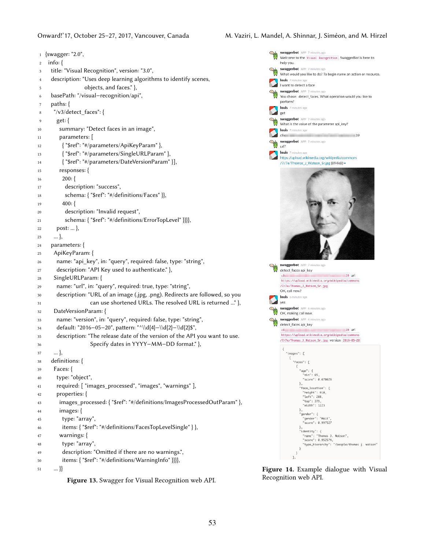## Onward!'17, October 25–27, 2017, Vancouver, Canada M. Vaziri, L. Mandel, A. Shinnar, J. Siméon, and M. Hirzel

Welcome to the Visual Recognition. SwaggerBot is here to

What would you like to do? To begin name an action or resource.

You chose: detect\_faces. What operation would you like to

https://upload.wikimedia.org/wikipedia/commons /7/7e/Thomas\_J\_Watson\_Sr.jpg (894kB) +

https://upload.wikimedia.org/wikipedia/commons

https://upload.wikimedia.org/wikipedia/com /7/7e/Thomas\_J\_Watson\_Sr.jpg version 2016-05-20

> "age": {<br>"min": 65, "score": 0.670626 ,,<br>"face\_location": { "height": 910,<br>"left": 208,<br>"top": 379,<br>"width": 1223

.<br>"gender": {

 $-39$  url

39 url

swaggerhot APP 7 minutes a

swaggerhot APP 7 minutes as

**swaggerbot** APP 7 minutes ago What is the value of the parameter api\_key?

help you.

louis 7 minut

perform? louis 7 minutes an

url? louis 7 minutes ago

swaggerbot APP 7 m

louis 7 minutes ago  $c8$  and  $c8$ **swaggerbot** APP 7 minutes ago

swaggerbot APP detect faces api key

OK, call now? louis 6 minutes ago yes

/7/7e/Thomas\_J\_Watson\_Sr.jpg

**swaggerbot** APP 6 minutes ago OK, making call now.

**swaggerbot** APP 6 minutes ago detect faces api\_key

 $CR<sub>1</sub>$ 

 $c8$ 

{<br>  $\begin{smallmatrix} \vdots \end{smallmatrix}$  "images": [ "faces": [

```
1 {swagger: "2.0",
2 \quad \text{info}:3 title: "Visual Recognition", version: "3.0",
4 description: "Uses deep learning algorithms to identify scenes,
                                                                                  I want to detect a face
5 objects, and faces." },
6 basePath: "/visual−recognition/api",
7 paths: {
                                                                                  Det
8 "/v3/detect_faces": {
9 get: {
10 summary: "Detect faces in an image",
11 parameters: [
12 { "$ref": "#/parameters/ApiKeyParam" },
13 { "$ref": "#/parameters/SingleURLParam" },
14 { "$ref": "#/parameters/DateVersionParam" }],
15 responses: {
16 200: {
17 description: "success",
18 schema: { "$ref": "#/definitions/Faces" }},
19 400: {
20 description: "Invalid request",
21 schema: { "$ref": "#/definitions/ErrorTopLevel" }}}},
22 post: ... },
23 ... },
24 parameters: {
25 ApiKeyParam: {
26 name: "api_key", in: "query", required: false, type: "string",
27 description: "API Key used to authenticate." },
28 SingleURLParam: {
29 name: "url", in: "query", required: true, type: "string",
30 description: "URL of an image (.jpg, .png). Redirects are followed, so you
31 can use shortened URLs. The resolved URL is returned ..." },
32 DateVersionParam: {
33 name: "version", in: "query", required: false, type: "string",
                                                                                  -6
34 default: "2016−05−20", pattern: "^\\d{4}−\\d{2}−\\d{2}$",
35 description: "The release date of the version of the API you want to use.
36 Specify dates in YYYY−MM−DD format." },
37 \quad ... \},38 definitions: {
39 Faces: {
40 type: "object",
41 required: [ "images_processed", "images", "warnings" ],
42 properties: {
43 images_processed: { "$ref": "#/definitions/ImagesProcessedOutParam" },
44 images: {
45 type: "array",
46 items: { "$ref": "#/definitions/FacesTopLevelSingle" } },
47 warnings: {
48 type: "array",
49 description: "Omitted if there are no warnings.",
50 items: { "$ref": "#/definitions/WarningInfo" }}}},
51 ... }
```
Figure 13. Swagger for Visual Recognition web API.

"gender": "MALE",<br>"score": 0.997527 ,,<br>"identity": { ucnercy . .<br>"name": "Thomas J. Watson",<br>"score": 0.952574, "type\_hierarchy": "/people/thomas j. watson"  $\overline{1}$ Figure 14. Example dialogue with Visual Recognition web API.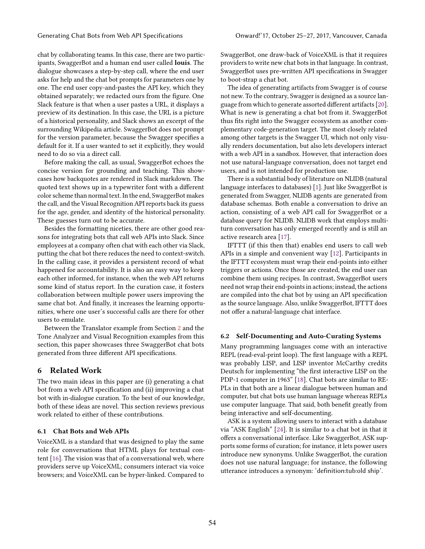chat by collaborating teams. In this case, there are two participants, SwaggerBot and a human end user called louis. The dialogue showcases a step-by-step call, where the end user asks for help and the chat bot prompts for parameters one by one. The end user copy-and-pastes the API key, which they obtained separately; we redacted ours from the figure. One Slack feature is that when a user pastes a URL, it displays a preview of its destination. In this case, the URL is a picture of a historical personality, and Slack shows an excerpt of the surrounding Wikipedia article. SwaggerBot does not prompt for the version parameter, because the Swagger specifies a default for it. If a user wanted to set it explicitly, they would need to do so via a direct call.

Before making the call, as usual, SwaggerBot echoes the concise version for grounding and teaching. This showcases how backquotes are rendered in Slack markdown. The quoted text shows up in a typewriter font with a different color scheme than normal text. In the end, SwaggerBot makes the call, and the Visual Recognition API reports back its guess for the age, gender, and identity of the historical personality. These guesses turn out to be accurate.

Besides the formatting niceties, there are other good reasons for integrating bots that call web APIs into Slack. Since employees at a company often chat with each other via Slack, putting the chat bot there reduces the need to context-switch. In the calling case, it provides a persistent record of what happened for accountability. It is also an easy way to keep each other informed, for instance, when the web API returns some kind of status report. In the curation case, it fosters collaboration between multiple power users improving the same chat bot. And finally, it increases the learning opportunities, where one user's successful calls are there for other users to emulate.

Between the Translator example from Section [2](#page-2-2) and the Tone Analyzer and Visual Recognition examples from this section, this paper showcases three SwaggerBot chat bots generated from three different API specifications.

# 6 Related Work

The two main ideas in this paper are (i) generating a chat bot from a web API specification and (ii) improving a chat bot with in-dialogue curation. To the best of our knowledge, both of these ideas are novel. This section reviews previous work related to either of these contributions.

# 6.1 Chat Bots and Web APIs

VoiceXML is a standard that was designed to play the same role for conversations that HTML plays for textual content [\[16\]](#page-12-6). The vision was that of a conversational web, where providers serve up VoiceXML; consumers interact via voice browsers; and VoiceXML can be hyper-linked. Compared to

SwaggerBot, one draw-back of VoiceXML is that it requires providers to write new chat bots in that language. In contrast, SwaggerBot uses pre-written API specifications in Swagger to boot-strap a chat bot.

The idea of generating artifacts from Swagger is of course not new. To the contrary, Swagger is designed as a source language from which to generate assorted different artifacts [\[20\]](#page-13-3). What is new is generating a chat bot from it. SwaggerBot thus fits right into the Swagger ecosystem as another complementary code-generation target. The most closely related among other targets is the Swagger UI, which not only visually renders documentation, but also lets developers interact with a web API in a sandbox. However, that interaction does not use natural-language conversation, does not target end users, and is not intended for production use.

There is a substantial body of literature on NLIDB (natural language interfaces to databases) [\[1\]](#page-12-7). Just like SwaggerBot is generated from Swagger, NLIDB agents are generated from database schemas. Both enable a conversation to drive an action, consisting of a web API call for SwaggerBot or a database query for NLIDB. NLIDB work that employs multiturn conversation has only emerged recently and is still an active research area [\[17\]](#page-13-6).

IFTTT (if this then that) enables end users to call web APIs in a simple and convenient way [\[12\]](#page-12-8). Participants in the IFTTT ecosystem must wrap their end-points into either triggers or actions. Once those are created, the end user can combine them using recipes. In contrast, SwaggerBot users need not wrap their end-points in actions; instead, the actions are compiled into the chat bot by using an API specification as the source language. Also, unlike SwaggerBot, IFTTT does not offer a natural-language chat interface.

#### 6.2 Self-Documenting and Auto-Curating Systems

Many programming languages come with an interactive REPL (read-eval-print loop). The first language with a REPL was probably LISP, and LISP inventor McCarthy credits Deutsch for implementing "the first interactive LISP on the PDP-1 computer in 1963" [\[18\]](#page-13-7). Chat bots are similar to RE-PLs in that both are a linear dialogue between human and computer, but chat bots use human language whereas REPLs use computer language. That said, both benefit greatly from being interactive and self-documenting.

ASK is a system allowing users to interact with a database via "ASK English" [\[24\]](#page-13-8). It is similar to a chat bot in that it offers a conversational interface. Like SwaggerBot, ASK supports some forms of curation; for instance, it lets power users introduce new synonyms. Unlike SwaggerBot, the curation does not use natural language; for instance, the following utterance introduces a synonym: 'definition:tub:old ship'.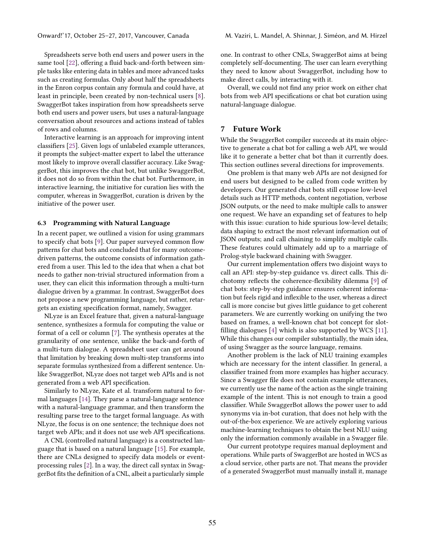Spreadsheets serve both end users and power users in the same tool [\[22\]](#page-13-9), offering a fluid back-and-forth between simple tasks like entering data in tables and more advanced tasks such as creating formulas. Only about half the spreadsheets in the Enron corpus contain any formula and could have, at least in principle, been created by non-technical users [\[8\]](#page-12-9). SwaggerBot takes inspiration from how spreadsheets serve both end users and power users, but uses a natural-language conversation about resources and actions instead of tables of rows and columns.

Interactive learning is an approach for improving intent classifiers [\[25\]](#page-13-2). Given logs of unlabeled example utterances, it prompts the subject-matter expert to label the utterance most likely to improve overall classifier accuracy. Like SwaggerBot, this improves the chat bot, but unlike SwaggerBot, it does not do so from within the chat bot. Furthermore, in interactive learning, the initiative for curation lies with the computer, whereas in SwaggerBot, curation is driven by the initiative of the power user.

#### 6.3 Programming with Natural Language

In a recent paper, we outlined a vision for using grammars to specify chat bots [\[9\]](#page-12-1). Our paper surveyed common flow patterns for chat bots and concluded that for many outcomedriven patterns, the outcome consists of information gathered from a user. This led to the idea that when a chat bot needs to gather non-trivial structured information from a user, they can elicit this information through a multi-turn dialogue driven by a grammar. In contrast, SwaggerBot does not propose a new programming language, but rather, retargets an existing specification format, namely, Swagger.

NLyze is an Excel feature that, given a natural-language sentence, synthesizes a formula for computing the value or format of a cell or column [\[7\]](#page-12-10). The synthesis operates at the granularity of one sentence, unlike the back-and-forth of a multi-turn dialogue. A spreadsheet user can get around that limitation by breaking down multi-step transforms into separate formulas synthesized from a different sentence. Unlike SwaggerBot, NLyze does not target web APIs and is not generated from a web API specification.

Similarly to NLyze, Kate et al. transform natural to formal languages [\[14\]](#page-12-11). They parse a natural-language sentence with a natural-language grammar, and then transform the resulting parse tree to the target formal language. As with NLyze, the focus is on one sentence; the technique does not target web APIs; and it does not use web API specifications.

A CNL (controlled natural language) is a constructed language that is based on a natural language [\[15\]](#page-12-12). For example, there are CNLs designed to specify data models or eventprocessing rules [\[2\]](#page-12-13). In a way, the direct call syntax in SwaggerBot fits the definition of a CNL, albeit a particularly simple

one. In contrast to other CNLs, SwaggerBot aims at being completely self-documenting. The user can learn everything they need to know about SwaggerBot, including how to make direct calls, by interacting with it.

Overall, we could not find any prior work on either chat bots from web API specifications or chat bot curation using natural-language dialogue.

# 7 Future Work

While the SwaggerBot compiler succeeds at its main objective to generate a chat bot for calling a web API, we would like it to generate a better chat bot than it currently does. This section outlines several directions for improvements.

One problem is that many web APIs are not designed for end users but designed to be called from code written by developers. Our generated chat bots still expose low-level details such as HTTP methods, content negotiation, verbose JSON outputs, or the need to make multiple calls to answer one request. We have an expanding set of features to help with this issue: curation to hide spurious low-level details; data shaping to extract the most relevant information out of JSON outputs; and call chaining to simplify multiple calls. These features could ultimately add up to a marriage of Prolog-style backward chaining with Swagger.

Our current implementation offers two disjoint ways to call an API: step-by-step guidance vs. direct calls. This dichotomy reflects the coherence-flexibility dilemma [\[9\]](#page-12-1) of chat bots: step-by-step guidance ensures coherent information but feels rigid and inflexible to the user, whereas a direct call is more concise but gives little guidance to get coherent parameters. We are currently working on unifying the two based on frames, a well-known chat bot concept for slotfilling dialogues [\[4\]](#page-12-14) which is also supported by WCS [\[11\]](#page-12-4). While this changes our compiler substantially, the main idea, of using Swagger as the source language, remains.

Another problem is the lack of NLU training examples which are necessary for the intent classifier. In general, a classifier trained from more examples has higher accuracy. Since a Swagger file does not contain example utterances, we currently use the name of the action as the single training example of the intent. This is not enough to train a good classifier. While SwaggerBot allows the power user to add synonyms via in-bot curation, that does not help with the out-of-the-box experience. We are actively exploring various machine-learning techniques to obtain the best NLU using only the information commonly available in a Swagger file.

Our current prototype requires manual deployment and operations. While parts of SwaggerBot are hosted in WCS as a cloud service, other parts are not. That means the provider of a generated SwaggerBot must manually install it, manage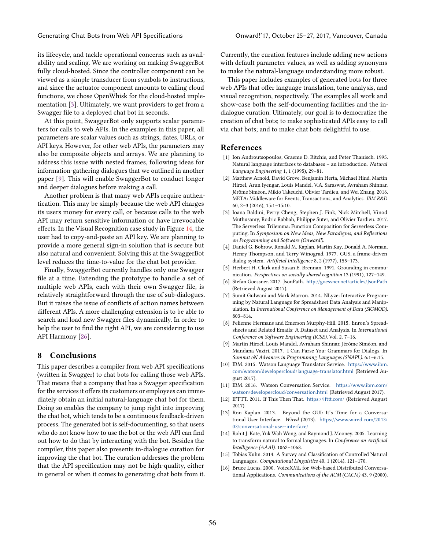its lifecycle, and tackle operational concerns such as availability and scaling. We are working on making SwaggerBot fully cloud-hosted. Since the controller component can be viewed as a simple transducer from symbols to instructions, and since the actuator component amounts to calling cloud functions, we chose OpenWhisk for the cloud-hosted implementation [\[3\]](#page-12-15). Ultimately, we want providers to get from a Swagger file to a deployed chat bot in seconds.

At this point, SwaggerBot only supports scalar parameters for calls to web APIs. In the examples in this paper, all parameters are scalar values such as strings, dates, URLs, or API keys. However, for other web APIs, the parameters may also be composite objects and arrays. We are planning to address this issue with nested frames, following ideas for information-gathering dialogues that we outlined in another paper [\[9\]](#page-12-1). This will enable SwaggerBot to conduct longer and deeper dialogues before making a call.

Another problem is that many web APIs require authentication. This may be simply because the web API charges its users money for every call, or because calls to the web API may return sensitive information or have irrevocable effects. In the Visual Recognition case study in Figure [14,](#page-9-0) the user had to copy-and-paste an API key. We are planning to provide a more general sign-in solution that is secure but also natural and convenient. Solving this at the SwaggerBot level reduces the time-to-value for the chat bot provider.

Finally, SwaggerBot currently handles only one Swagger file at a time. Extending the prototype to handle a set of multiple web APIs, each with their own Swagger file, is relatively straightforward through the use of sub-dialogues. But it raises the issue of conflicts of action names between different APIs. A more challenging extension is to be able to search and load new Swagger files dynamically. In order to help the user to find the right API, we are considering to use API Harmony [\[26\]](#page-13-10).

## 8 Conclusions

This paper describes a compiler from web API specifications (written in Swagger) to chat bots for calling those web APIs. That means that a company that has a Swagger specification for the services it offers its customers or employees can immediately obtain an initial natural-language chat bot for them. Doing so enables the company to jump right into improving the chat bot, which tends to be a continuous feedback-driven process. The generated bot is self-documenting, so that users who do not know how to use the bot or the web API can find out how to do that by interacting with the bot. Besides the compiler, this paper also presents in-dialogue curation for improving the chat bot. The curation addresses the problem that the API specification may not be high-quality, either in general or when it comes to generating chat bots from it.

Currently, the curation features include adding new actions with default parameter values, as well as adding synonyms to make the natural-language understanding more robust.

This paper includes examples of generated bots for three web APIs that offer language translation, tone analysis, and visual recognition, respectively. The examples all work and show-case both the self-documenting facilities and the indialogue curation. Ultimately, our goal is to democratize the creation of chat bots; to make sophisticated APIs easy to call via chat bots; and to make chat bots delightful to use.

## References

- <span id="page-12-7"></span>[1] Ion Androutsopoulos, Graeme D. Ritchie, and Peter Thanisch. 1995. Natural language interfaces to databases – an introduction. Natural Language Engineering 1, 1 (1995), 29–81.
- <span id="page-12-13"></span>[2] Matthew Arnold, David Grove, Benjamin Herta, Michael Hind, Martin Hirzel, Arun Iyengar, Louis Mandel, V.A. Saraswat, Avraham Shinnar, Jérôme Siméon, Mikio Takeuchi, Olivier Tardieu, and Wei Zhang. 2016. META: Middleware for Events, Transactions, and Analytics. IBM R&D 60, 2–3 (2016), 15:1–15:10.
- <span id="page-12-15"></span>[3] Ioana Baldini, Perry Cheng, Stephen J. Fink, Nick Mitchell, Vinod Muthusamy, Rodric Rabbah, Philippe Suter, and Olivier Tardieu. 2017. The Serverless Trilemma: Function Composition for Serverless Computing. In Symposium on New Ideas, New Paradigms, and Reflections on Programming and Software (Onward!).
- <span id="page-12-14"></span>[4] Daniel G. Bobrow, Ronald M. Kaplan, Martin Kay, Donald A. Norman, Henry Thompson, and Terry Winograd. 1977. GUS, a frame-driven dialog system. Artificial Intelligence 8, 2 (1977), 155–173.
- <span id="page-12-3"></span>[5] Herbert H. Clark and Susan E. Brennan. 1991. Grounding in communication. Perspectives on socially shared cognition 13 (1991), 127–149.
- <span id="page-12-5"></span>[6] Stefan Goessner. 2017. JsonPath. <http://goessner.net/articles/JsonPath> (Retrieved August 2017).
- <span id="page-12-10"></span>[7] Sumit Gulwani and Mark Marron. 2014. NLyze: Interactive Programming by Natural Language for Spreadsheet Data Analysis and Manipulation. In International Conference on Management of Data (SIGMOD). 803–814.
- <span id="page-12-9"></span>[8] Felienne Hermans and Emerson Murphy-Hill. 2015. Enron's Spreadsheets and Related Emails: A Dataset and Analysis. In International Conference on Software Engineering (ICSE), Vol. 2. 7–16.
- <span id="page-12-1"></span>[9] Martin Hirzel, Louis Mandel, Avraham Shinnar, Jérôme Siméon, and Mandana Vaziri. 2017. I Can Parse You: Grammars for Dialogs. In Summit oN Advances in Programming Languages (SNAPL). 6:1–6:15.
- <span id="page-12-2"></span>[10] IBM. 2015. Watson Language Translator Service. [https://www.ibm.](https://www.ibm.com/watson/developercloud/language-translator.html) [com/watson/developercloud/language-translator.html](https://www.ibm.com/watson/developercloud/language-translator.html) (Retrieved August 2017).
- <span id="page-12-4"></span>[11] IBM. 2016. Watson Conversation Service. [https://www.ibm.com/](https://www.ibm.com/watson/developercloud/conversation.html) [watson/developercloud/conversation.html](https://www.ibm.com/watson/developercloud/conversation.html) (Retrieved August 2017).
- <span id="page-12-8"></span>[12] IFTTT. 2011. If This Then That. <https://ifttt.com/> (Retrieved August 2017).
- <span id="page-12-0"></span>[13] Ron Kaplan. 2013. Beyond the GUI: It's Time for a Conversational User Interface. Wired (2013). [https://www.wired.com/2013/](https://www.wired.com/2013/03/conversational-user-interface/) [03/conversational-user-interface/](https://www.wired.com/2013/03/conversational-user-interface/)
- <span id="page-12-11"></span>[14] Rohit J. Kate, Yuk Wah Wong, and Raymond J. Mooney. 2005. Learning to transform natural to formal languages. In Conference on Artificial Intelligence (AAAI). 1062–1068.
- <span id="page-12-12"></span>[15] Tobias Kuhn. 2014. A Survey and Classification of Controlled Natural Languages. Computational Linguistics 40, 1 (2014), 121–170.
- <span id="page-12-6"></span>[16] Bruce Lucas. 2000. VoiceXML for Web-based Distributed Conversational Applications. Communications of the ACM (CACM) 43, 9 (2000),